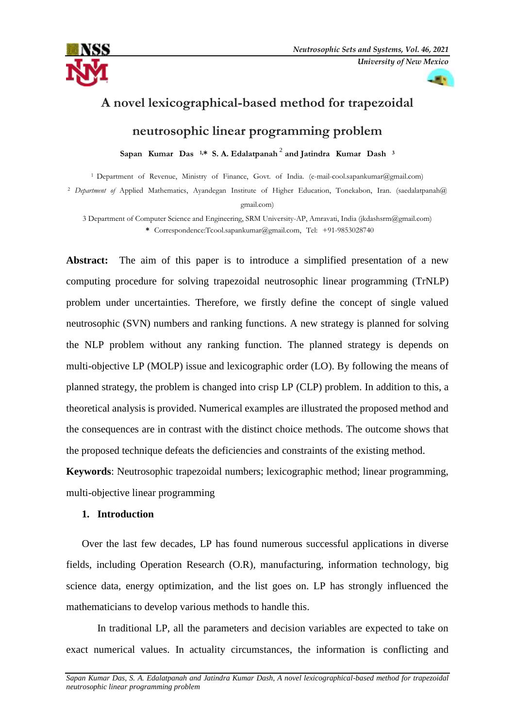



# **A novel lexicographical-based method for trapezoidal neutrosophic linear programming problem**

Sapan Kumar Das<sup>1,\*</sup> S. A. Edalatpanah<sup>2</sup> and Jatindra Kumar Dash<sup>3</sup>

<sup>1</sup> Department of Revenue, Ministry of Finance, Govt. of India. [\(e-mail-cool.sapankumar@gmail.com\)](mailto:e-mail-cool.sapankumar@gmail.com) <sup>2</sup> Department of Applied Mathematics, Ayandegan Institute of Higher Education, Tonekabon, Iran. [\(saedalatpanah@](mailto:saedalatpanah@gmail.com) [gmail.com\)](mailto:saedalatpanah@gmail.com)

3 Department of Computer Science and Engineering, SRM University-AP, Amravati, India (jkdashsrm@gmail.com) \* Correspondence:[Tcool.sapankumar@gmail.com,T](mailto:cool.sapankumar@gmail.com)el: +91-9853028740

**Abstract:** The aim of this paper is to introduce a simplified presentation of a new computing procedure for solving trapezoidal neutrosophic linear programming (TrNLP) problem under uncertainties. Therefore, we firstly define the concept of single valued neutrosophic (SVN) numbers and ranking functions. A new strategy is planned for solving the NLP problem without any ranking function. The planned strategy is depends on multi-objective LP (MOLP) issue and lexicographic order (LO). By following the means of planned strategy, the problem is changed into crisp LP (CLP) problem. In addition to this, a theoretical analysis is provided. Numerical examples are illustrated the proposed method and the consequences are in contrast with the distinct choice methods. The outcome shows that the proposed technique defeats the deficiencies and constraints of the existing method.

**Keywords**: Neutrosophic trapezoidal numbers; lexicographic method; linear programming, multi-objective linear programming

# **1. Introduction**

Over the last few decades, LP has found numerous successful applications in diverse fields, including Operation Research (O.R), manufacturing, information technology, big science data, energy optimization, and the list goes on. LP has strongly influenced the mathematicians to develop various methods to handle this.

In traditional LP, all the parameters and decision variables are expected to take on exact numerical values. In actuality circumstances, the information is conflicting and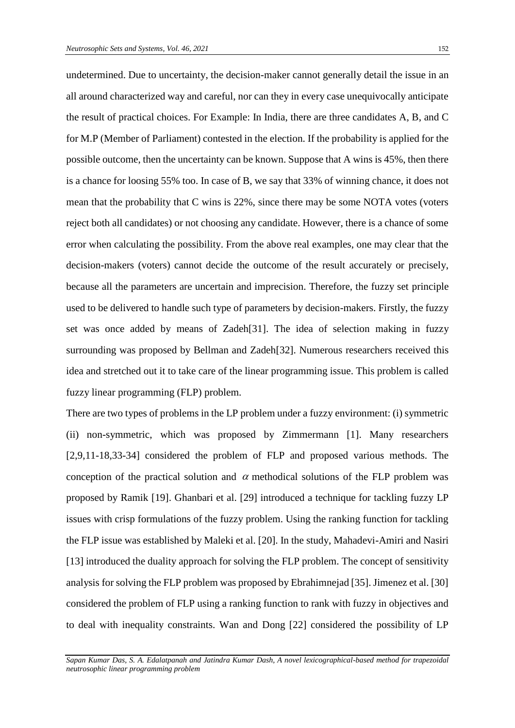undetermined. Due to uncertainty, the decision-maker cannot generally detail the issue in an all around characterized way and careful, nor can they in every case unequivocally anticipate the result of practical choices. For Example: In India, there are three candidates A, B, and C for M.P (Member of Parliament) contested in the election. If the probability is applied for the possible outcome, then the uncertainty can be known. Suppose that A wins is 45%, then there is a chance for loosing 55% too. In case of B, we say that 33% of winning chance, it does not mean that the probability that C wins is 22%, since there may be some NOTA votes (voters reject both all candidates) or not choosing any candidate. However, there is a chance of some error when calculating the possibility. From the above real examples, one may clear that the decision-makers (voters) cannot decide the outcome of the result accurately or precisely, because all the parameters are uncertain and imprecision. Therefore, the fuzzy set principle used to be delivered to handle such type of parameters by decision-makers. Firstly, the fuzzy set was once added by means of Zadeh[31]. The idea of selection making in fuzzy surrounding was proposed by Bellman and Zadeh[32]. Numerous researchers received this idea and stretched out it to take care of the linear programming issue. This problem is called fuzzy linear programming (FLP) problem.

There are two types of problems in the LP problem under a fuzzy environment: (i) symmetric (ii) non-symmetric, which was proposed by Zimmermann [1]. Many researchers [2,9,11-18,33-34] considered the problem of FLP and proposed various methods. The conception of the practical solution and  $\alpha$  methodical solutions of the FLP problem was proposed by Ramik [19]. Ghanbari et al. [29] introduced a technique for tackling fuzzy LP issues with crisp formulations of the fuzzy problem. Using the ranking function for tackling the FLP issue was established by Maleki et al. [20]. In the study, Mahadevi-Amiri and Nasiri [13] introduced the duality approach for solving the FLP problem. The concept of sensitivity analysis for solving the FLP problem was proposed by Ebrahimnejad [35]. Jimenez et al. [30] considered the problem of FLP using a ranking function to rank with fuzzy in objectives and to deal with inequality constraints. Wan and Dong [22] considered the possibility of LP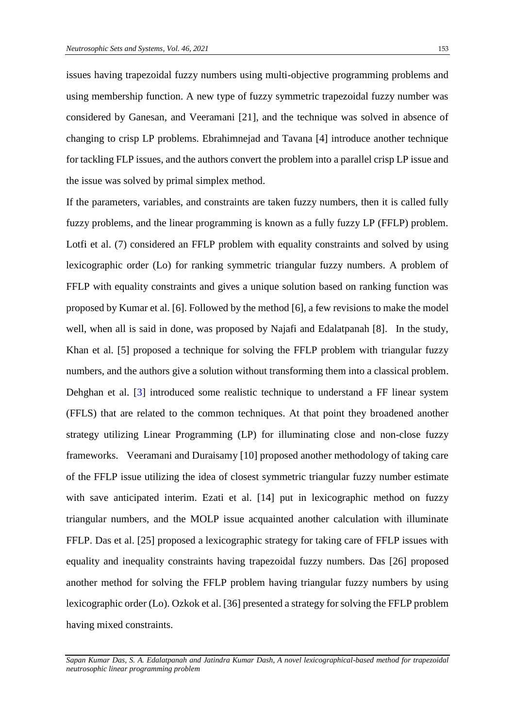issues having trapezoidal fuzzy numbers using multi-objective programming problems and using membership function. A new type of fuzzy symmetric trapezoidal fuzzy number was considered by Ganesan, and Veeramani [21], and the technique was solved in absence of changing to crisp LP problems. Ebrahimnejad and Tavana [4] introduce another technique for tackling FLP issues, and the authors convert the problem into a parallel crisp LP issue and the issue was solved by primal simplex method.

If the parameters, variables, and constraints are taken fuzzy numbers, then it is called fully fuzzy problems, and the linear programming is known as a fully fuzzy LP (FFLP) problem. Lotfi et al. (7) considered an FFLP problem with equality constraints and solved by using lexicographic order (Lo) for ranking symmetric triangular fuzzy numbers. A problem of FFLP with equality constraints and gives a unique solution based on ranking function was proposed by Kumar et al. [6]. Followed by the method [6], a few revisions to make the model well, when all is said in done, was proposed by Najafi and Edalatpanah [8]. In the study, Khan et al. [5] proposed a technique for solving the FFLP problem with triangular fuzzy numbers, and the authors give a solution without transforming them into a classical problem. Dehghan et al. [3] introduced some realistic technique to understand a FF linear system (FFLS) that are related to the common techniques. At that point they broadened another strategy utilizing Linear Programming (LP) for illuminating close and non-close fuzzy frameworks. Veeramani and Duraisamy [10] proposed another methodology of taking care of the FFLP issue utilizing the idea of closest symmetric triangular fuzzy number estimate with save anticipated interim. Ezati et al. [14] put in lexicographic method on fuzzy triangular numbers, and the MOLP issue acquainted another calculation with illuminate FFLP. Das et al. [25] proposed a lexicographic strategy for taking care of FFLP issues with equality and inequality constraints having trapezoidal fuzzy numbers. Das [26] proposed another method for solving the FFLP problem having triangular fuzzy numbers by using lexicographic order (Lo). Ozkok et al. [36] presented a strategy for solving the FFLP problem having mixed constraints.

*Sapan Kumar Das, S. A. Edalatpanah and Jatindra Kumar Dash, A novel lexicographical-based method for trapezoidal neutrosophic linear programming problem*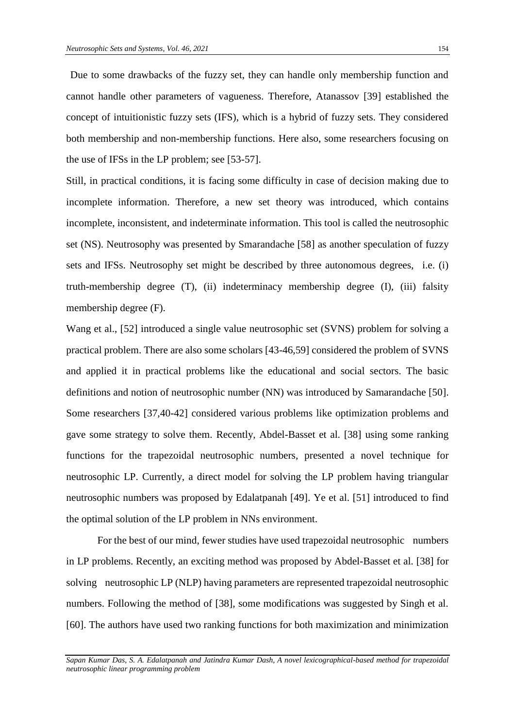Due to some drawbacks of the fuzzy set, they can handle only membership function and cannot handle other parameters of vagueness. Therefore, Atanassov [39] established the concept of intuitionistic fuzzy sets (IFS), which is a hybrid of fuzzy sets. They considered both membership and non-membership functions. Here also, some researchers focusing on the use of IFSs in the LP problem; see [53-57].

Still, in practical conditions, it is facing some difficulty in case of decision making due to incomplete information. Therefore, a new set theory was introduced, which contains incomplete, inconsistent, and indeterminate information. This tool is called the neutrosophic set (NS). Neutrosophy was presented by Smarandache [58] as another speculation of fuzzy sets and IFSs. Neutrosophy set might be described by three autonomous degrees, i.e. (i) truth-membership degree (T), (ii) indeterminacy membership degree (I), (iii) falsity membership degree (F).

Wang et al., [52] introduced a single value neutrosophic set (SVNS) problem for solving a practical problem. There are also some scholars [43-46,59] considered the problem of SVNS and applied it in practical problems like the educational and social sectors. The basic definitions and notion of neutrosophic number (NN) was introduced by Samarandache [50]. Some researchers [37,40-42] considered various problems like optimization problems and gave some strategy to solve them. Recently, Abdel-Basset et al. [38] using some ranking functions for the trapezoidal neutrosophic numbers, presented a novel technique for neutrosophic LP. Currently, a direct model for solving the LP problem having triangular neutrosophic numbers was proposed by Edalatpanah [49]. Ye et al. [51] introduced to find the optimal solution of the LP problem in NNs environment.

For the best of our mind, fewer studies have used trapezoidal neutrosophic numbers in LP problems. Recently, an exciting method was proposed by Abdel-Basset et al. [38] for solving neutrosophic LP (NLP) having parameters are represented trapezoidal neutrosophic numbers. Following the method of [38], some modifications was suggested by Singh et al. [60]. The authors have used two ranking functions for both maximization and minimization

*Sapan Kumar Das, S. A. Edalatpanah and Jatindra Kumar Dash, A novel lexicographical-based method for trapezoidal neutrosophic linear programming problem*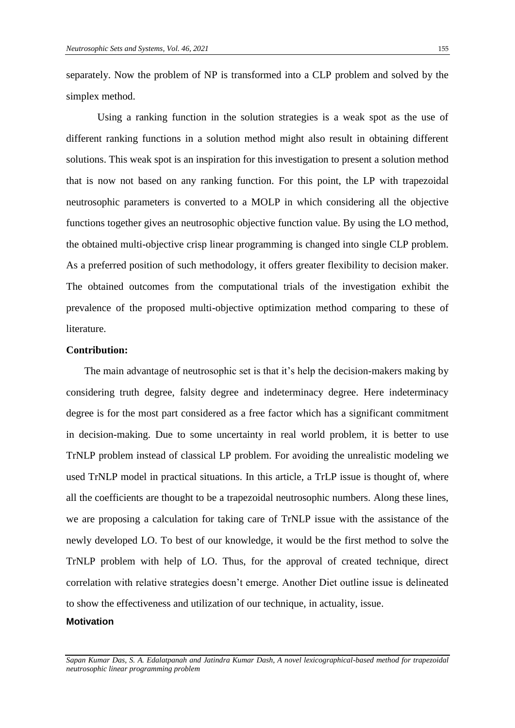separately. Now the problem of NP is transformed into a CLP problem and solved by the simplex method.

Using a ranking function in the solution strategies is a weak spot as the use of different ranking functions in a solution method might also result in obtaining different solutions. This weak spot is an inspiration for this investigation to present a solution method that is now not based on any ranking function. For this point, the LP with trapezoidal neutrosophic parameters is converted to a MOLP in which considering all the objective functions together gives an neutrosophic objective function value. By using the LO method, the obtained multi-objective crisp linear programming is changed into single CLP problem. As a preferred position of such methodology, it offers greater flexibility to decision maker. The obtained outcomes from the computational trials of the investigation exhibit the prevalence of the proposed multi-objective optimization method comparing to these of literature.

## **Contribution:**

The main advantage of neutrosophic set is that it's help the decision-makers making by considering truth degree, falsity degree and indeterminacy degree. Here indeterminacy degree is for the most part considered as a free factor which has a significant commitment in decision-making. Due to some uncertainty in real world problem, it is better to use TrNLP problem instead of classical LP problem. For avoiding the unrealistic modeling we used TrNLP model in practical situations. In this article, a TrLP issue is thought of, where all the coefficients are thought to be a trapezoidal neutrosophic numbers. Along these lines, we are proposing a calculation for taking care of TrNLP issue with the assistance of the newly developed LO. To best of our knowledge, it would be the first method to solve the TrNLP problem with help of LO. Thus, for the approval of created technique, direct correlation with relative strategies doesn't emerge. Another Diet outline issue is delineated to show the effectiveness and utilization of our technique, in actuality, issue.

## **Motivation**

*Sapan Kumar Das, S. A. Edalatpanah and Jatindra Kumar Dash, A novel lexicographical-based method for trapezoidal neutrosophic linear programming problem*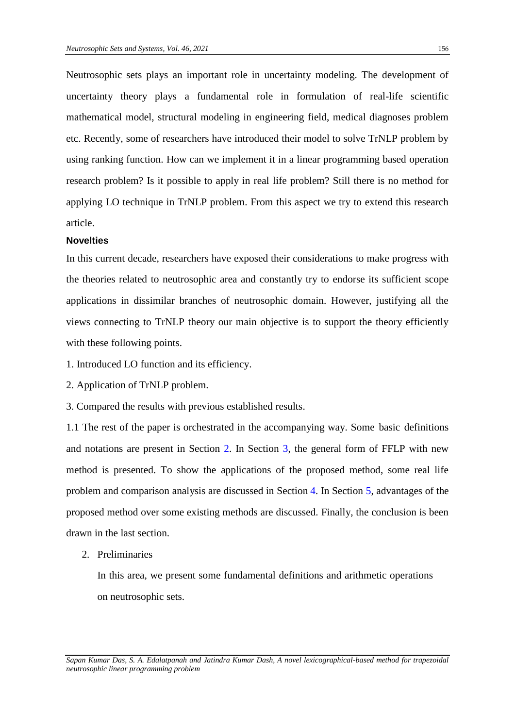Neutrosophic sets plays an important role in uncertainty modeling. The development of uncertainty theory plays a fundamental role in formulation of real-life scientific mathematical model, structural modeling in engineering field, medical diagnoses problem etc. Recently, some of researchers have introduced their model to solve TrNLP problem by using ranking function. How can we implement it in a linear programming based operation research problem? Is it possible to apply in real life problem? Still there is no method for applying LO technique in TrNLP problem. From this aspect we try to extend this research article.

### **Novelties**

In this current decade, researchers have exposed their considerations to make progress with the theories related to neutrosophic area and constantly try to endorse its sufficient scope applications in dissimilar branches of neutrosophic domain. However, justifying all the views connecting to TrNLP theory our main objective is to support the theory efficiently with these following points.

- 1. Introduced LO function and its efficiency.
- 2. Application of TrNLP problem.

3. Compared the results with previous established results.

1.1 The rest of the paper is orchestrated in the accompanying way. Some basic definitions and notations are present in Section 2. In Section 3, the general form of FFLP with new method is presented. To show the applications of the proposed method, some real life problem and comparison analysis are discussed in Section 4. In Section 5, advantages of the proposed method over some existing methods are discussed. Finally, the conclusion is been drawn in the last section.

2. Preliminaries

In this area, we present some fundamental definitions and arithmetic operations on neutrosophic sets.

*Sapan Kumar Das, S. A. Edalatpanah and Jatindra Kumar Dash, A novel lexicographical-based method for trapezoidal neutrosophic linear programming problem*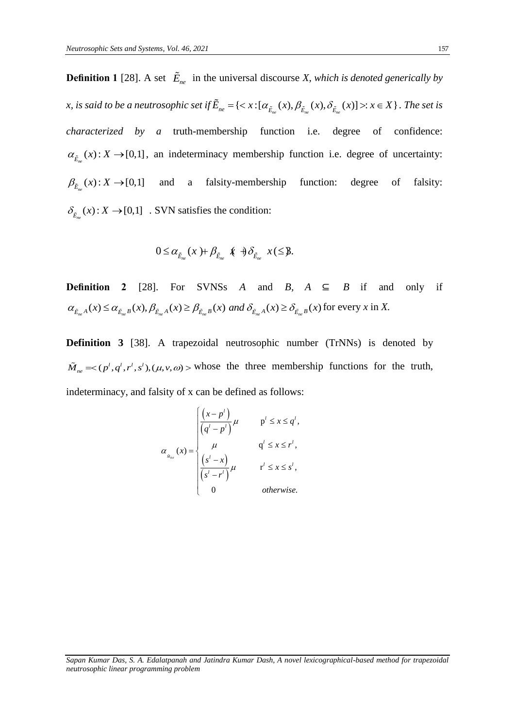**Definition 1** [28]. A set  $\mathbf{E}_{ne}$  in the universal discourse *X*, which is denoted generically by *x*, is said to be a neutrosophic set if  $\tilde{E}_{n_e} = \{ \langle x : [\alpha_{\tilde{E}_{n_e}}(x), \beta_{\tilde{E}_{n_e}}(x), \delta_{\tilde{E}_{n_e}}(x)] \rangle : x \in X \}$ . The set is *characterized by a* truth-membership function i.e. degree of confidence:  $\alpha_{\tilde{E}_{n_e}}(x)$ :  $X \rightarrow [0,1]$ , an indeterminacy membership function i.e. degree of uncertainty:  $\beta_{\tilde{E}_{n}}(x): X \to [0,1]$  and a falsity-membership function: degree of falsity:  $\delta_{\tilde{E}_{n_e}}(x)$ :  $X \rightarrow [0,1]$  *.* SVN satisfies the condition:

$$
0 \leq \alpha_{\tilde{E}_{ne}}(x) + \beta_{\tilde{E}_{ne}} \mathcal{K} \oplus \delta_{\tilde{E}_{ne}} x \leq \mathfrak{F}.
$$

**Definition 2** [28]. For SVNSs *A* and *B*,  $A \subseteq B$  if and only if **Definition 2** [28]. For SVNSs *A* and *B*, *A*  $\subseteq$  *B* if and  $\alpha_{\tilde{E}_{ne}}$  *A*(*x*)  $\leq \alpha_{\tilde{E}_{ne}}$  *B*(*x*),  $\beta_{\tilde{E}_{ne}}$  *A*(*x*)  $\geq \beta_{\tilde{E}_{ne}}$  *B*(*x*) *and*  $\delta_{\tilde{E}_{ne}}$  *A*(*x*)  $\geq \delta_{\tilde{E}_{ne}}$  *B*(*x*) for

**Definition 3** [38]. A trapezoidal neutrosophic number (TrNNs) is denoted by  $\tilde{M}_{n_e} = \langle (p^l, q^l, r^l, s^l), (\mu, v, \omega) \rangle$  whose the three membership functions for the truth, indeterminacy, and falsity of x can be defined as follows:

$$
\alpha_{s_{n_e}}(x) = \begin{cases}\n\frac{\left(x - p^l\right)}{\left(q^l - p^l\right)} \mu & \text{p}^l \leq x \leq q^l, \\
\mu & \text{q}^l \leq x \leq r^l, \\
\frac{\left(s^l - x\right)}{\left(s^l - r^l\right)} \mu & \text{r}^l \leq x \leq s^l, \\
0 & \text{otherwise.}\n\end{cases}
$$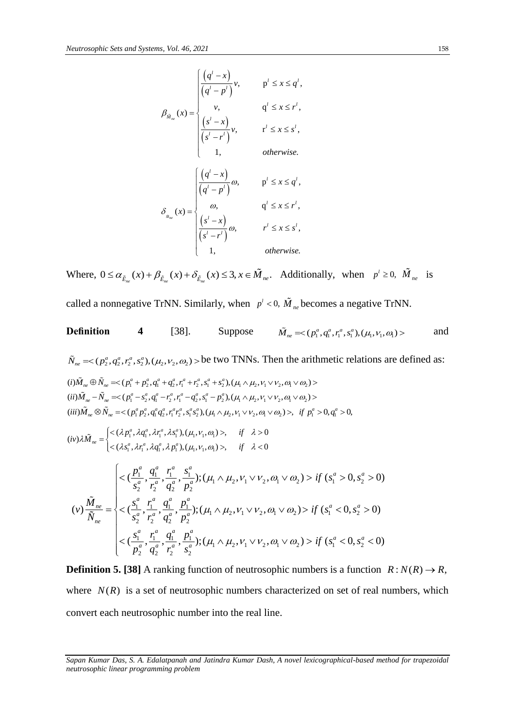$$
\beta_{\tilde{M}_{ne}}(x) = \begin{cases}\n\frac{\left(q^{l} - x\right)}{\left(q^{l} - p^{l}\right)}v, & p^{l} \leq x \leq q^{l}, \\
v, & q^{l} \leq x \leq r^{l}, \\
\frac{\left(s^{l} - x\right)}{\left(s^{l} - r^{l}\right)}v, & r^{l} \leq x \leq s^{l}, \\
1, & \text{otherwise.} \\
\frac{\left(\frac{q^{l} - x\right)}{\left(q^{l} - p^{l}\right)}\omega, & p^{l} \leq x \leq q^{l}, \\
\frac{\omega}{\left(q^{l} - p^{l}\right)}\omega, & q^{l} \leq x \leq r^{l}, \\
\frac{\omega}{\left(s^{l} - r^{l}\right)}\omega, & q^{l} \leq x \leq r^{l}, \\
\frac{\omega}{\left(s^{l} - r^{l}\right)}\omega, & r^{l} \leq x \leq s^{l}, \\
1, & \text{otherwise.}\n\end{cases}
$$

Where,  $0 \le \alpha_{\tilde{E}_{ne}}(x) + \beta_{\tilde{E}_{ne}}(x) + \delta_{\tilde{E}_{ne}}(x) \le 3, x \in \tilde{M}_{ne}$ . Additionally, when  $p' \ge 0$ ,  $\tilde{M}_{ne}$  is called a nonnegative TrNN. Similarly, when  $p^l < 0$ ,  $\overline{M}_{ne}$  becomes a negative TrNN.

*neutrosophic linear programming problem* **Definition 4** [38]. Suppose 1 1 1 1 1 1 1 ( , , , ),( , , ) *a a a a M p q r s ne* and 2 2 2 2 2 2 2 ( , , , ),( , , ) *a a a a N p q r s ne* be two TNNs. Then the arithmetic relations are defined as: 1 2 1 2 1 2 1 2 1 2 1 2 1 2 ( ) ( , , , ),( , , ) *a a a a a a a a ne ne i M N p p q q r r s s* 1 2 1 2 1 2 1 2 1 2 1 2 1 2 ( ) ( , , , ),( , , ) *a a a a a a a a ne ne ii M N p s q r r q s p* 1 2 1 2 1 2 1 2 1 2 1 2 1 2 1 1 ( ) ( , , , ),( , , , ) 0, 0, *a a a a a a a a a a ne ne iii M N p p q q r r s <sup>s</sup> if <sup>p</sup> <sup>q</sup>* 1 1 1 1 1 1 1 1 1 1 1 1 1 1 ( , , , ),( , , ) , 0 ( ) ( , , , ),( , , ) , 0 *a a a a ne a a a a p q r s if iv M s r q p if* 1 1 1 1 1 2 1 2 1 2 1 2 2 2 2 2 1 1 1 1 1 2 1 2 1 2 1 2 2 2 2 2 1 1 1 1 1 2 1 2 1 2 1 2 2 2 2 ( , , , ); ( ) ( , , , ( , , ) ( 0, 0) ( , , ) ( 0, 0) ( , , ); ( , , ) , ; ) ( *a a a a a a a a a a a a a a a a a a a a a a a a ne a a n a a e if s s i p q r s s r q p <sup>M</sup> s r q p v N s r q p s r q p p q r s s s f s if* <sup>2</sup> 0, 0) *a a s* 

**Definition 5. [38]** A ranking function of neutrosophic numbers is a function  $R: N(R) \rightarrow R$ , where  $N(R)$  is a set of neutrosophic numbers characterized on set of real numbers, which convert each neutrosophic number into the real line.

*Sapan Kumar Das, S. A. Edalatpanah and Jatindra Kumar Dash, A novel lexicographical-based method for trapezoidal*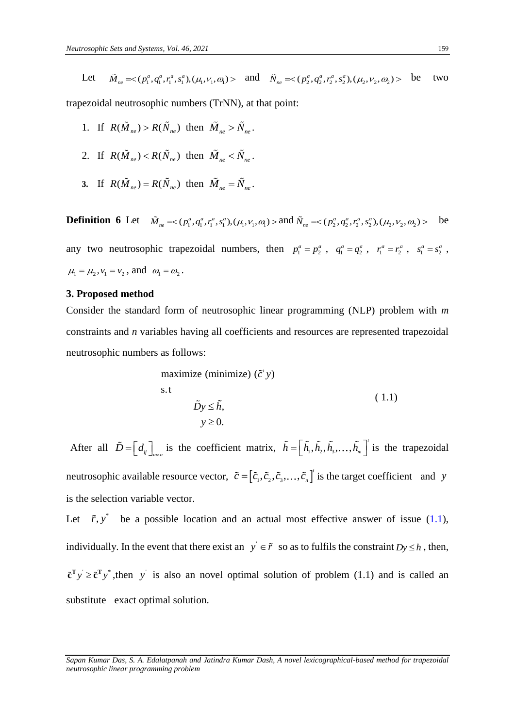Let 
$$
\tilde{M}_{ne} = \langle (p_1^a, q_1^a, r_1^a, s_1^a), (\mu_1, v_1, \omega_1) \rangle
$$
 and  $\tilde{N}_{ne} = \langle (p_2^a, q_2^a, r_2^a, s_2^a), (\mu_2, v_2, \omega_2) \rangle$  be two

trapezoidal neutrosophic numbers (TrNN), at that point:

- 1. If  $R(\tilde{M}_{ne}) > R(\tilde{N}_{ne})$  then  $\tilde{M}_{ne} > \tilde{N}_{ne}$ .
- 2. If  $R(\tilde{M}_{ne}) < R(\tilde{N}_{ne})$  then  $\tilde{M}_{ne} < \tilde{N}_{ne}$ .
- **3.** If  $R(\tilde{M}_{ne}) = R(\tilde{N}_{ne})$  then  $\tilde{M}_{ne} = \tilde{N}_{ne}$ .

**Definition 6** Let  $\tilde{M}_{ne} \ll (p_1^a, q_1^a, r_1^a, s_1^a), (\mu_1, \nu_1, \omega_1) >$  and  $\tilde{N}_{ne} \ll (p_2^a, q_2^a, r_2^a, s_2^a), (\mu_2, \nu_2, \omega_2) >$  be be any two neutrosophic trapezoidal numbers, then  $p_1^a = p_2^a$ ,  $q_1^a = q_2^a$ ,  $r_1^a = r_2^a$ ,  $s_1^a = s_2^a$ ,  $\mu_1 = \mu_2, \nu_1 = \nu_2$ , and  $\omega_1 = \omega_2$ .

#### **3. Proposed method**

Consider the standard form of neutrosophic linear programming (NLP) problem with *m* constraints and *n* variables having all coefficients and resources are represented trapezoidal neutrosophic numbers as follows:

maximize (minimize) 
$$
(\tilde{c}' y)
$$
  
s.t  
 $\tilde{D} y \leq \tilde{h},$   
 $y \geq 0.$  (1.1)

After all  $\tilde{D} = \left[d_{ij}\right]_{m \times n}$  is the coefficient matrix,  $\tilde{h} = \left[\tilde{h}_{1}, \tilde{h}_{2}, \tilde{h}_{3}, \dots, \tilde{h}_{m}\right]$  $\tilde{h} = \left[ \tilde{h}_1, \tilde{h}_2, \tilde{h}_3, \dots, \tilde{h}_m \right]$  is the trapezoidal neutrosophic available resource vector,  $\tilde{c} = [\tilde{c}_1, \tilde{c}_2, \tilde{c}_3, \dots, \tilde{c}_n]$  $\tilde{c} = [\tilde{c}_1, \tilde{c}_2, \tilde{c}_3, \dots, \tilde{c}_n]^T$  is the target coefficient and *y* is the selection variable vector.

Let  $\tilde{r}$ ,  $y^*$  be a possible location and an actual most effective answer of issue (1.1), individually. In the event that there exist an  $y \in \tilde{r}$  so as to fulfils the constraint  $Dy \leq h$ , then,  $\tilde{c}^T y \geq \tilde{c}^T y^*$ , then y is also an novel optimal solution of problem (1.1) and is called an substitute exact optimal solution.

*Sapan Kumar Das, S. A. Edalatpanah and Jatindra Kumar Dash, A novel lexicographical-based method for trapezoidal neutrosophic linear programming problem*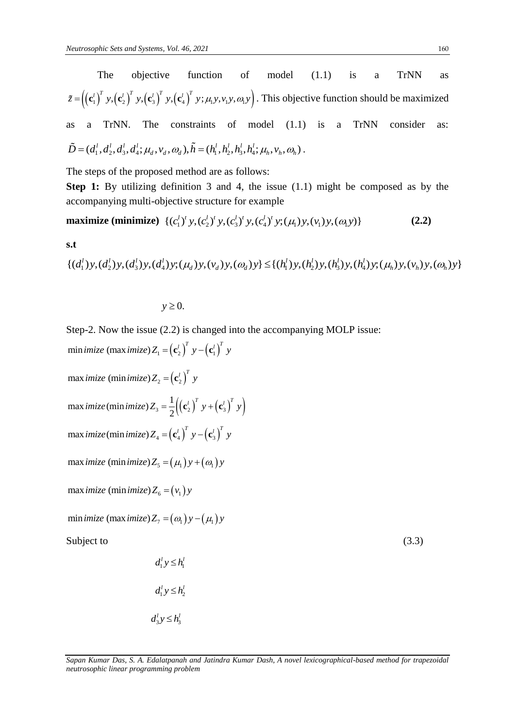The objective function of model (1.1) is a TrNN as  $\tilde{z} = ((\mathbf{c}'_1)^T y, (\mathbf{c}'_2)^T y, (\mathbf{c}'_3)^T y, (\mathbf{c}'_4)^T y, \mu_1 y, \nu_1 y, \omega_1 y)$ . This objective function should be maximized as a TrNN. The constraints of model (1.1) is a TrNN consider as: as a TrNN. The constraints of model (1.1) is<br>  $\tilde{D} = (d_1^l, d_2^l, d_3^l, d_4^l; \mu_d, v_d, \omega_d), \tilde{h} = (h_1^l, h_2^l, h_3^l, h_4^l; \mu_h, v_h, \omega_h)$ .

The steps of the proposed method are as follows:

**Step 1:** By utilizing definition 3 and 4, the issue (1.1) might be composed as by the accompanying multi-objective structure for example<br> **maximize** (**minimize**)  $\{(c_1^l)^t y, (c_2^l)^t y, (c_3^l)^t y, (c_4^l)^t y; (\mu_1) y, (\nu_1) y, (\omega_1 y)\}\$ 

maximize (minimize) {
$$
(c_1^l)^t y, (c_2^l)^t y, (c_3^l)^t y, (c_4^l)^t y, (\mu_1) y, (\nu_1) y, (\omega_1 y)
$$
} (2.2)

**s.t** 

maximize (minimize) {
$$
(c_1^l)^t y, (c_2^l)^t y, (c_3^l)^t y, (c_4^l)^t y; (\mu_1) y, (\nu_1) y, (\alpha_1 y)
$$
}  
s.t  
{ $(d_1^l)y, (d_2^l)y, (d_3^l)y, (d_4^l)y; (\mu_d) y, (\nu_d) y, (\omega_d) y$ }  $\leq \{(h_1^l)y, (h_2^l)y, (h_3^l)y, (h_4^l)y; (\mu_h) y, (\nu_h) y, (\omega_h) y\}$ 

 $y \geq 0$ .

Step-2. Now the issue (2.2) is changed into the accompanying MOLP issue: min *imize* (max *imize*)  $Z_1 = (\mathbf{c}'_2)^T y - (\mathbf{c}'_1)^T y$ 

max *imize* (min *imize*)  $Z_2 = \left(\mathbf{c}_2^l\right)^T$ *imize* (min*imize*) $Z_2 = (\mathbf{c}'_2)^T y$  $\mathbf{r}_{3} = \frac{1}{2} \left( \left( \mathbf{c}_{2}^{l} \right)^{T} y + \left( \mathbf{c}_{3}^{l} \right)^{T} y \right).$ max *imize* (min *imize*)  $Z_3 = \frac{1}{2} \left( \left( \mathbf{c}'_2 \right)^T y + \left( \mathbf{c}'_3 \right)^T y$  $\text{maximize}(\text{min}\ \text{imize}\) Z_4 = \left(\mathbf{c}_4^l\right)^T y - \left(\mathbf{c}_3^l\right)^T y$ max *imize* (min *imize*)  $Z_5 = (\mu_1) y + (\omega_1) y$ max *imize* (min *imize*)  $Z_6 = (v_1) y$ 

min *imize (max imize)*  $Z_7 = (\omega_1 y) - (\mu_1) y$ 

Subject to  $(3.3)$ 

 $d_1^l y \leq h_1^l$  $d_1^l y \leq h_2^l$  $d_3^l y \leq h_3^l$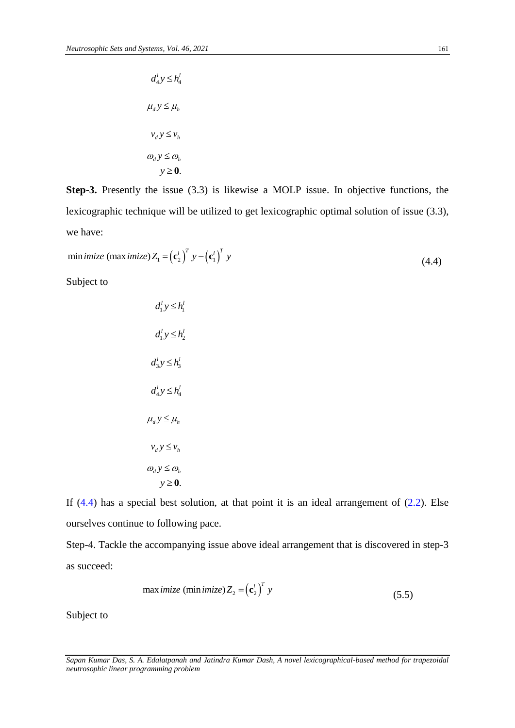$$
d_4^l y \le h_4^l
$$
  

$$
\mu_d y \le \mu_h
$$
  

$$
v_d y \le v_h
$$
  

$$
\omega_d y \le \omega_h
$$
  

$$
y \ge 0.
$$

**Step-3.** Presently the issue (3.3) is likewise a MOLP issue. In objective functions, the lexicographic technique will be utilized to get lexicographic optimal solution of issue (3.3), we have:

$$
\text{min}\,\text{imize}\,\,(\text{max}\,\text{imize})\,Z_1 = \left(\mathbf{c}_2^l\right)^T y - \left(\mathbf{c}_1^l\right)^T y \tag{4.4}
$$

Subject to

$$
d_1^l y \le h_1^l
$$
  
\n
$$
d_1^l y \le h_2^l
$$
  
\n
$$
d_3^l y \le h_3^l
$$
  
\n
$$
d_4^l y \le h_4^l
$$
  
\n
$$
\mu_d y \le \mu_h
$$
  
\n
$$
\nu_d y \le \nu_h
$$
  
\n
$$
\omega_d y \le \omega_h
$$
  
\n
$$
y \ge 0.
$$

If  $(4.4)$  has a special best solution, at that point it is an ideal arrangement of  $(2.2)$ . Else ourselves continue to following pace.

Step-4. Tackle the accompanying issue above ideal arrangement that is discovered in step-3 as succeed:

max *imize* (min *imize*) 
$$
Z_2 = (c_2')^T y
$$
 (5.5)

Subject to

*Sapan Kumar Das, S. A. Edalatpanah and Jatindra Kumar Dash, A novel lexicographical-based method for trapezoidal neutrosophic linear programming problem*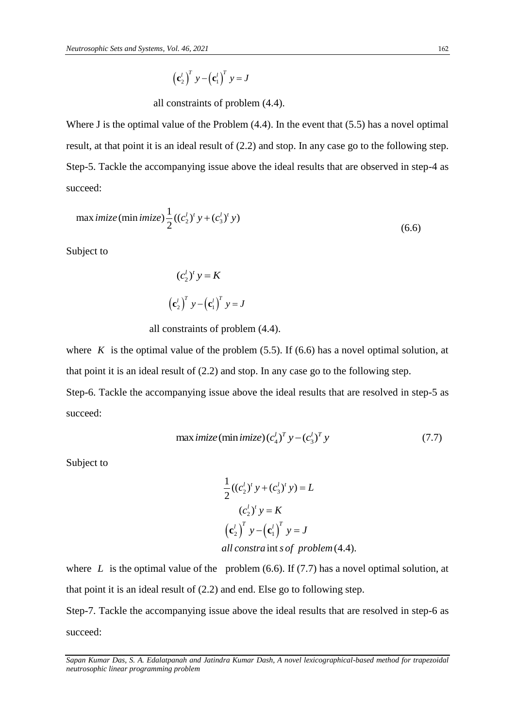$$
\left(\mathbf{c}_{2}^{l}\right)^{T} y - \left(\mathbf{c}_{1}^{l}\right)^{T} y = J
$$

all constraints of problem (4.4).

Where J is the optimal value of the Problem  $(4.4)$ . In the event that  $(5.5)$  has a novel optimal result, at that point it is an ideal result of (2.2) and stop. In any case go to the following step. Step-5. Tackle the accompanying issue above the ideal results that are observed in step-4 as succeed:

max *imize* (min *imize*) 
$$
\frac{1}{2} ((c_2^l)^t y + (c_3^l)^t y)
$$
 (6.6)

Subject to

$$
(c_2^l)^t y = K
$$

$$
(c_2^l)^T y - (c_1^l)^T y = J
$$

all constraints of problem (4.4).

where  $K$  is the optimal value of the problem  $(5.5)$ . If  $(6.6)$  has a novel optimal solution, at that point it is an ideal result of (2.2) and stop. In any case go to the following step.

Step-6. Tackle the accompanying issue above the ideal results that are resolved in step-5 as succeed:

$$
\max \text{ } imize\left(\min \text{ }imize\right)(c_4^l)^T y - (c_3^l)^T y \tag{7.7}
$$

Subject to

$$
\frac{1}{2}((c_2^l)^t y + (c_3^l)^t y) = L
$$

$$
(c_2^l)^t y = K
$$

$$
(c_2^l)^T y - (c_1^l)^T y = J
$$
all constant *s* of problem (4.4).

where  $L$  is the optimal value of the problem  $(6.6)$ . If  $(7.7)$  has a novel optimal solution, at that point it is an ideal result of (2.2) and end. Else go to following step.

Step-7. Tackle the accompanying issue above the ideal results that are resolved in step-6 as succeed:

*Sapan Kumar Das, S. A. Edalatpanah and Jatindra Kumar Dash, A novel lexicographical-based method for trapezoidal neutrosophic linear programming problem*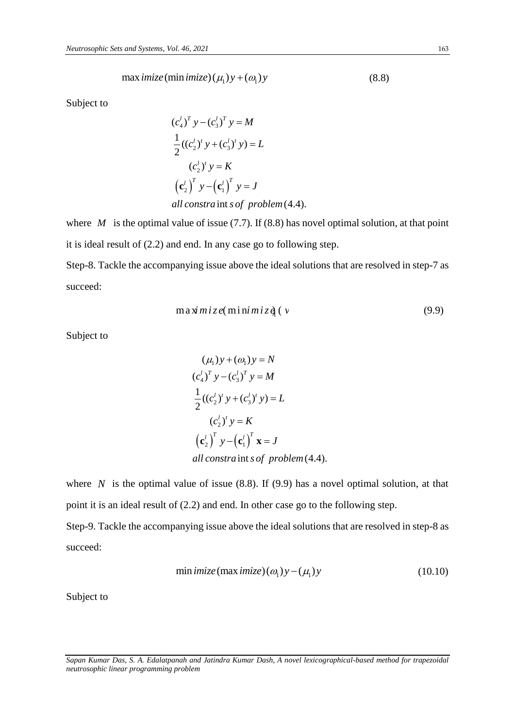$$
\max \text{ } imize\left(\min \text{ }imize\right)\left(\mu_1\right)y + \left(\omega_1\right)y\tag{8.8}
$$

Subject to

$$
(c_4^l)^T y - (c_3^l)^T y = M
$$
  
\n
$$
\frac{1}{2} ((c_2^l)^t y + (c_3^l)^t y) = L
$$
  
\n
$$
(c_2^l)^t y = K
$$
  
\n
$$
(c_2^l)^T y - (c_1^l)^T y = J
$$
  
\n*all constra* int *s of problem* (4.4).

where  $M$  is the optimal value of issue (7.7). If (8.8) has novel optimal solution, at that point it is ideal result of (2.2) and end. In any case go to following step. Step-8. Tackle the accompanying issue above the ideal solutions that are resolved in step-7 as

succeed:

$$
\max \dot{m} \, iz \, e(\min \dot{m} \, \dot{x} \, \dot{q} \, (v \tag{9.9}
$$

Subject to

$$
(\mu_1)y + (\omega_1)y = N
$$
  
\n
$$
(c_4^l)^T y - (c_3^l)^T y = M
$$
  
\n
$$
\frac{1}{2}((c_2^l)^t y + (c_3^l)^t y) = L
$$
  
\n
$$
(c_2^l)^T y = K
$$
  
\n
$$
(c_2^l)^T y - (c_1^l)^T x = J
$$
  
\nall constra int s of problem (4.4).

where  $N$  is the optimal value of issue  $(8.8)$ . If  $(9.9)$  has a novel optimal solution, at that point it is an ideal result of (2.2) and end. In other case go to the following step.

Step-9. Tackle the accompanying issue above the ideal solutions that are resolved in step-8 as succeed:

$$
\min \text{imize}(\max \text{imize})(\omega_1) y - (\mu_1) y \tag{10.10}
$$

Subject to

*Sapan Kumar Das, S. A. Edalatpanah and Jatindra Kumar Dash, A novel lexicographical-based method for trapezoidal neutrosophic linear programming problem*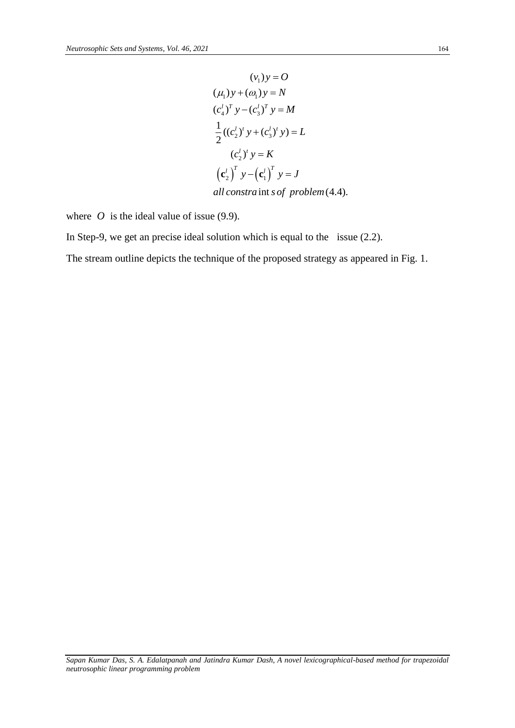$$
(v1)y = O
$$
  
\n
$$
(\mu_1)y + (\omega_1)y = N
$$
  
\n
$$
(c_4^l)^T y - (c_3^l)^T y = M
$$
  
\n
$$
\frac{1}{2}((c_2^l)^t y + (c_3^l)^t y) = L
$$
  
\n
$$
(c_2^l)^T y = K
$$
  
\n
$$
(c_2^l)^T y - (c_1^l)^T y = J
$$
  
\n*all constrain is of problem* (4.4).

where  $O$  is the ideal value of issue (9.9).

In Step-9, we get an precise ideal solution which is equal to the issue (2.2).

The stream outline depicts the technique of the proposed strategy as appeared in Fig. 1.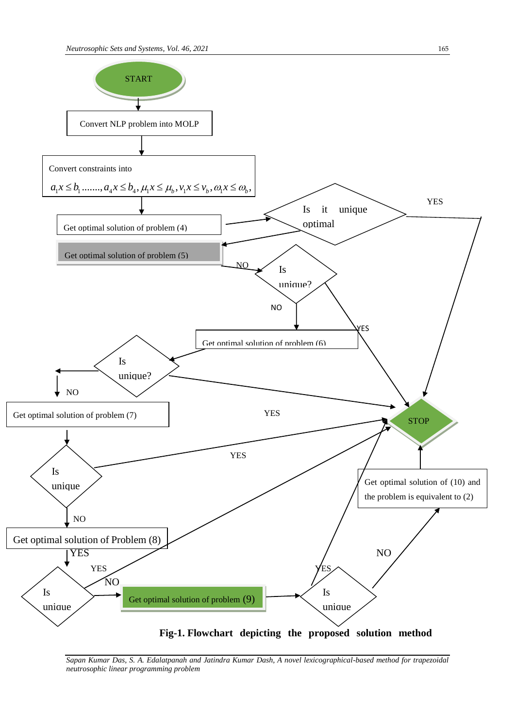

*Sapan Kumar Das, S. A. Edalatpanah and Jatindra Kumar Dash, A novel lexicographical-based method for trapezoidal neutrosophic linear programming problem*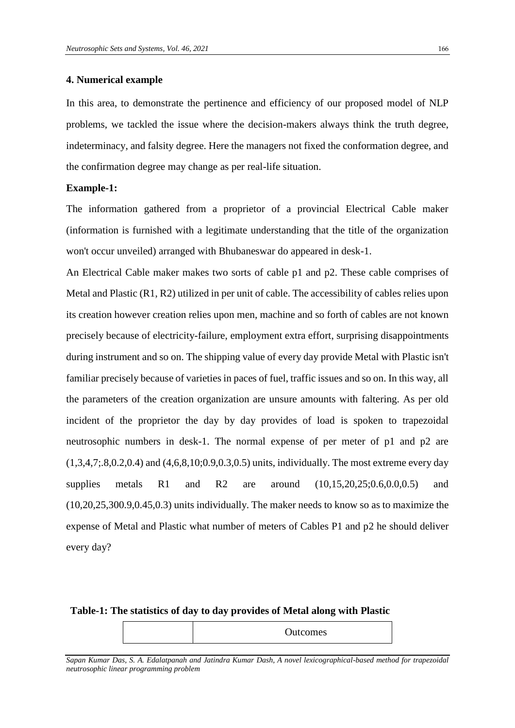## **4. Numerical example**

In this area, to demonstrate the pertinence and efficiency of our proposed model of NLP problems, we tackled the issue where the decision-makers always think the truth degree, indeterminacy, and falsity degree. Here the managers not fixed the conformation degree, and the confirmation degree may change as per real-life situation.

### **Example-1:**

The information gathered from a proprietor of a provincial Electrical Cable maker (information is furnished with a legitimate understanding that the title of the organization won't occur unveiled) arranged with Bhubaneswar do appeared in desk-1.

An Electrical Cable maker makes two sorts of cable p1 and p2. These cable comprises of Metal and Plastic (R1, R2) utilized in per unit of cable. The accessibility of cables relies upon its creation however creation relies upon men, machine and so forth of cables are not known precisely because of electricity-failure, employment extra effort, surprising disappointments during instrument and so on. The shipping value of every day provide Metal with Plastic isn't familiar precisely because of varieties in paces of fuel, traffic issues and so on. In this way, all the parameters of the creation organization are unsure amounts with faltering. As per old incident of the proprietor the day by day provides of load is spoken to trapezoidal neutrosophic numbers in desk-1. The normal expense of per meter of p1 and p2 are (1,3,4,7;.8,0.2,0.4) and (4,6,8,10;0.9,0.3,0.5) units, individually. The most extreme every day supplies metals R1 and R2 are around  $(10,15,20,25;0.6,0.0,0.5)$  and (10,20,25,300.9,0.45,0.3) units individually. The maker needs to know so as to maximize the expense of Metal and Plastic what number of meters of Cables P1 and p2 he should deliver every day?

#### **Table-1: The statistics of day to day provides of Metal along with Plastic**

Outcomes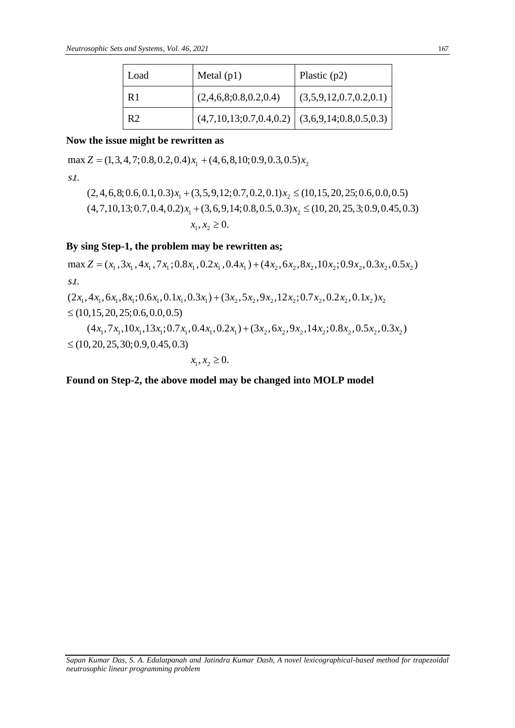|                                                                             | Load           | Metal $(p1)$                                       | Plastic $(p2)$         |  |  |  |
|-----------------------------------------------------------------------------|----------------|----------------------------------------------------|------------------------|--|--|--|
|                                                                             | R <sub>1</sub> | (2,4,6,8;0.8,0.2,0.4)                              | (3,5,9,12,0.7,0.2,0.1) |  |  |  |
|                                                                             | R <sub>2</sub> | $(4,7,10,13;0.7,0.4,0.2)$ $(3,6,9,14;0.8,0.5,0.3)$ |                        |  |  |  |
| Now the issue might be rewritten as                                         |                |                                                    |                        |  |  |  |
| $\max Z = (1, 3, 4, 7, 0.8, 0.2, 0.4)x_1 + (4, 6, 8, 10, 0.9, 0.3, 0.5)x_2$ |                |                                                    |                        |  |  |  |
|                                                                             |                |                                                    |                        |  |  |  |

## **Now the issue might be rewritten as**

**lo**<br>na<br>.*t*. *s t*

 $Z = (1, 3, 4, 7; 0.8, 0.2, 0.4)x_1 + (4, 6, 8, 10; 0.9, 0.3, 0.5)x_2$ <br>  $(2, 4, 6, 8; 0.6, 0.1, 0.3)x_1 + (3, 5, 9, 12; 0.7, 0.2, 0.1)x_2 \le (10, 15, 20, 25; 0.6, 0.0, 0.5)$ <br>  $(4, 7, 10, 12, 0.7, 0.4, 0.2)x_1 + (2, 6, 0, 14, 0.8, 0.5, 0$  $(2, 4, 6, 8; 0.6, 0.1, 0.3)x_1 + (3, 5, 9, 12; 0.7, 0.2, 0.1)x_2 \le (10, 15, 20, 25; 0.6, 0.0$ <br>  $(4, 7, 10, 13; 0.7, 0.4, 0.2)x_1 + (3, 6, 9, 14; 0.8, 0.5, 0.3)x_2 \le (10, 20, 25, 3; 0.9, 0.$ *x x* + (3, 6, 9, 14; 0.8, 0.5, 0.3) $x_2 \le (10, 20, 25, 3; 0.9, 0.45, 0.3)$ <br> $x_1, x_2 \ge 0.$  $(3,5,9,12)$ <br>+  $(3,6,9,$ <br> $x_1, x_2 \ge 0.$ 

## **By sing Step-1, the problem may be rewritten as;**

 $x_1, x_2 \ge 0.$ <br>By sing Step-1, the problem may be rewritten as;<br>max  $Z = (x_1, 3x_1, 4x_1, 7x_1; 0.8x_1, 0.2x_1, 0.4x_1) + (4x_2, 6x_2, 8x_2, 10x_2; 0.9x_2, 0.3x_2, 0.5x_2)$  $\sum_{t=1}^{n}$ max  $Z = (x_1, 3x_1, 4x_1, 7x_1; 0.8x_1, 0.2x_1, 0.4x_1) + (4x_2, 6x_2, 8x_2, 10x_2; 0.9x_2, 0.3$ <br>s.t.<br> $(2x_1, 4x_1, 6x_1, 8x_1; 0.6x_1, 0.1x_1, 0.3x_1) + (3x_2, 5x_2, 9x_2, 12x_2; 0.7x_2, 0.2x_2, 0.1x_2)$  $x_1, x_2 \ge 0.$ <br> **ng Step-1, the problem may be rewritten as;**<br>  $Z = (x_1, 3x_1, 4x_1, 7x_1; 0.8x_1, 0.2x_1, 0.4x_1) + (4x_2, 6x_2, 8x_2, 10x_2; 0.9x_2, 0.3x_2, 0.5x_1)$  $\frac{By}{s}$  $ax Z = (x_1, 3x_1, 4x_1, 7x_1; 0.8x_1, 0.2x_1, 0.4x_1) + (4x_2, 6x_2, 8x_2, 10x_2; 0.9x_2, 0.3x_1, 4x_1, 6x_1, 8x_1; 0.6x_1, 0.1x_1, 0.3x_1) + (3x_2, 5x_2, 9x_2, 12x_2; 0.7x_2, 0.2x_2, 0.1x_2)x_1(10.15, 20.25, 0.6, 0.0, 0.5).$  $x_1, x_2 \ge 0.$ <br>
g Step-1, the problem may be rewritten as;<br>  $=(x_1, 3x_1, 4x_1, 7x_1; 0.8x_1, 0.2x_1, 0.4x_1) + (4x_2, 6x_2, 8x_2)$ 

 $\mathbf{1}_1$ , 4 $x_1$ , 6 $x_1$ , 8 $x_1$ ; 0.6 $x_1$ , 0.1 $x_1$ , 0.3 $x_1$ ) + (3 $x_2$ , 5 $x_2$ , 9 $x_2$ , 12 $x_2$ ; 0.7 $x_2$ , 0.2 $x_2$ , 0.1 $x_2$ ) $x_2$  $4x_1, 6x_1, 8x_1; 0.6x_1, 0.1x_1, 0.3x_1) + (3x_2, 5x_2, 9x_2, 12x_2; 0.7x_2, 0.2x_2, 0.1x_2)x_2$ <br>  $(4x_1, 7x_1, 10x_1, 13x_1; 0.7x_1, 0.4x_1, 0.2x_1) + (3x_2, 6x_2, 9x_2, 14x_2; 0.8x_2, 0.5x_2, 0.3x_2)$ <br>  $(20.25, 20.0, 0.0,$  $\leq$  (10,15, 20, 25; 0.6, 0.0, 0.5)  $\overline{+}$  $(x_1, 0.3x_1) + (3x_2, 5x_2, 9x_2, 12x_2; 0.7x_2, 0.2x_2, 0.1x_2)x_2$ <br>  $(x_1, 0.4x_1, 0.2x_1) + (3x_2, 6x_2, 9x_2, 14x_2; 0.8x_2, 0.5x_2, 0.3x_2)$ 

 $\vdots$   $x_2$  $\leq$  (10, 20, 25, 30; 0.9, 0.45, 0.3)  $4x_1, 0.2$ <br>,  $x_2 \ge 0$ . 0.4.  $\overline{+}$ 

$$
x_1, x_2 \ge 0.
$$

**Found on Step-2, the above model may be changed into MOLP model**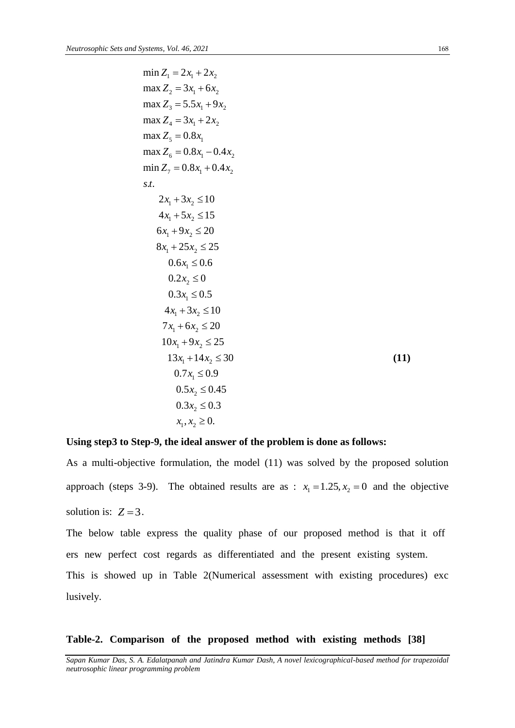min 
$$
Z_1 = 2x_1 + 2x_2
$$
  
\nmax  $Z_2 = 3x_1 + 6x_2$   
\nmax  $Z_3 = 5.5x_1 + 9x_2$   
\nmax  $Z_4 = 3x_1 + 2x_2$   
\nmax  $Z_5 = 0.8x_1$   
\nmax  $Z_6 = 0.8x_1 - 0.4x_2$   
\nmin  $Z_7 = 0.8x_1 + 0.4x_2$   
\n*s.t.*  
\n $2x_1 + 3x_2 \le 10$   
\n $4x_1 + 5x_2 \le 15$   
\n $6x_1 + 9x_2 \le 20$   
\n $8x_1 + 25x_2 \le 25$   
\n $0.6x_1 \le 0.6$   
\n $0.2x_2 \le 0$   
\n $0.3x_1 \le 0.5$   
\n $4x_1 + 3x_2 \le 10$   
\n $7x_1 + 6x_2 \le 20$   
\n $10x_1 + 9x_2 \le 25$   
\n $13x_1 + 14x_2 \le 30$   
\n $0.7x_1 \le 0.9$   
\n $0.5x_2 \le 0.45$   
\n $0.3x_2 \le 0.3$   
\n*x*<sub>1</sub>, *x*<sub>2</sub> *x*<sub>2</sub>

## **Using step3 to Step-9, the ideal answer of the problem is done as follows:**

As a multi-objective formulation, the model (11) was solved by the proposed solution approach (steps 3-9). The obtained results are as :  $x_1 = 1.25, x_2 = 0$  and the objective solution is:  $Z = 3$ .

The below table express the quality phase of our proposed method is that it off ers new perfect cost regards as differentiated and the present existing system. This is showed up in Table 2(Numerical assessment with existing procedures) exc lusively.

## Table-2. Comparison of the proposed method with existing methods [38]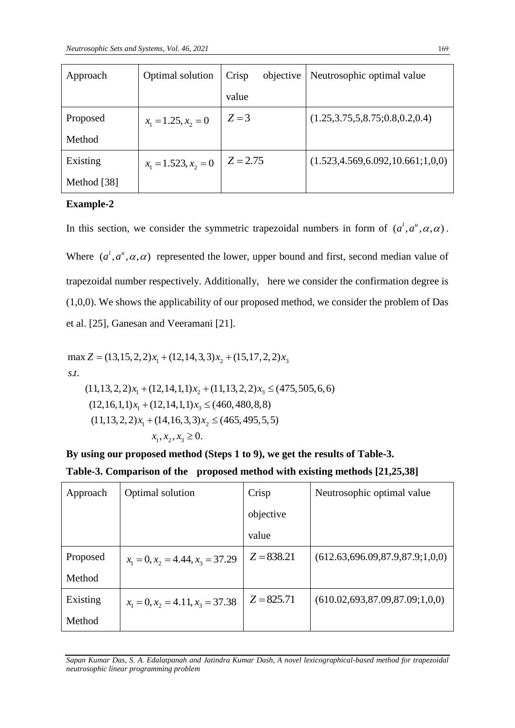| Approach    | Optimal solution       | objective<br>Crisp | Neutrosophic optimal value           |
|-------------|------------------------|--------------------|--------------------------------------|
|             |                        | value              |                                      |
| Proposed    | $x_1 = 1.25, x_2 = 0$  | $Z = 3$            | (1.25, 3.75, 5, 8.75, 0.8, 0.2, 0.4) |
| Method      |                        |                    |                                      |
| Existing    | $x_1 = 1.523, x_2 = 0$ | $Z = 2.75$         | (1.523, 4.569, 6.092, 10.661; 1,0,0) |
| Method [38] |                        |                    |                                      |

## **Example-2**

In this section, we consider the symmetric trapezoidal numbers in form of  $(a^1, a^u, \alpha, \alpha)$ .

Where  $(a^l, a^u, \alpha, \alpha)$  represented the lower, upper bound and first, second median value of trapezoidal number respectively. Additionally, here we consider the confirmation degree is (1,0,0). We shows the applicability of our proposed method, we consider the problem of Das et al. [25], Ganesan and Veeramani [21].

1 2 3 1 2 3 1 3 1 2 1 2 3 max (13,15,2,2) (12,14,3,3) (15,17,2,2) . . (11,13,2,2) (12,14,1,1) (11,13,2,2) (475,505,6,6) (12,16,1,1) (12,14,1,1) (460,480,8,8) (11,13,2,2) (14,16,3,3) (465,495,5,5) , , 0. *Z x x x s t x x x x x x x x x x* 

**By using our proposed method (Steps 1 to 9), we get the results of Table-3. Table-3. Comparison of the proposed method with existing methods [21,25,38]**

| Approach | Optimal solution                   | Crisp        | Neutrosophic optimal value         |
|----------|------------------------------------|--------------|------------------------------------|
|          |                                    | objective    |                                    |
|          |                                    | value        |                                    |
| Proposed | $x_1 = 0, x_2 = 4.44, x_3 = 37.29$ | $Z = 838.21$ | (612.63,696.09,87.9,87.9;1,0,0)    |
| Method   |                                    |              |                                    |
| Existing | $x_1 = 0, x_2 = 4.11, x_3 = 37.38$ | $Z = 825.71$ | (610.02, 693, 87.09, 87.09; 1,0,0) |
| Method   |                                    |              |                                    |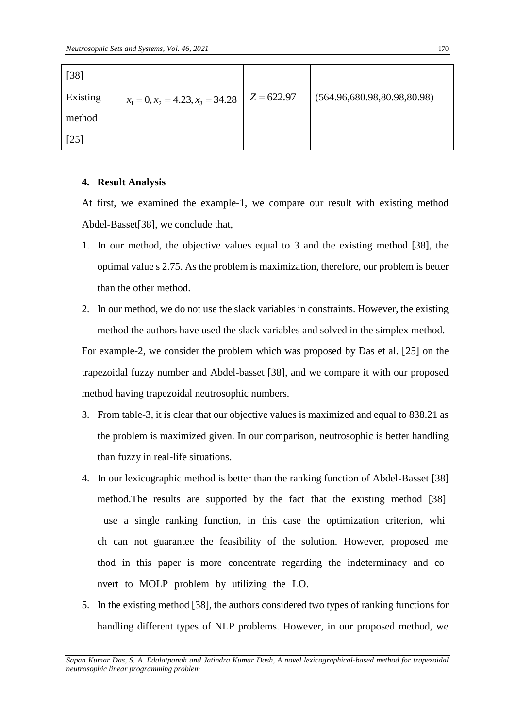| $[38]$   |                                    |              |                             |
|----------|------------------------------------|--------------|-----------------------------|
| Existing | $x_1 = 0, x_2 = 4.23, x_3 = 34.28$ | $Z = 622.97$ | (564.96,680.98,80.98,80.98) |
| method   |                                    |              |                             |
| [25]     |                                    |              |                             |

## **4. Result Analysis**

At first, we examined the example-1, we compare our result with existing method Abdel-Basset[38], we conclude that,

- 1. In our method, the objective values equal to 3 and the existing method [38], the optimal value s 2.75. As the problem is maximization, therefore, our problem is better than the other method.
- 2. In our method, we do not use the slack variables in constraints. However, the existing method the authors have used the slack variables and solved in the simplex method.

For example-2, we consider the problem which was proposed by Das et al. [25] on the trapezoidal fuzzy number and Abdel-basset [38], and we compare it with our proposed method having trapezoidal neutrosophic numbers.

- 3. From table-3, it is clear that our objective values is maximized and equal to 838.21 as the problem is maximized given. In our comparison, neutrosophic is better handling than fuzzy in real-life situations.
- 4. In our lexicographic method is better than the ranking function of Abdel-Basset [38] method. The results are supported by the fact that the existing method  $[38]$ use a single ranking function, in this case the optimization criterion, whi ch can not guarantee the feasibility of the solution. However, proposed me thod in this paper is more concentrate regarding the indeterminacy and co nvert to MOLP problem by utilizing the LO.
- 5. In the existing method [38], the authors considered two types of ranking functions for handling different types of NLP problems. However, in our proposed method, we

*Sapan Kumar Das, S. A. Edalatpanah and Jatindra Kumar Dash, A novel lexicographical-based method for trapezoidal neutrosophic linear programming problem*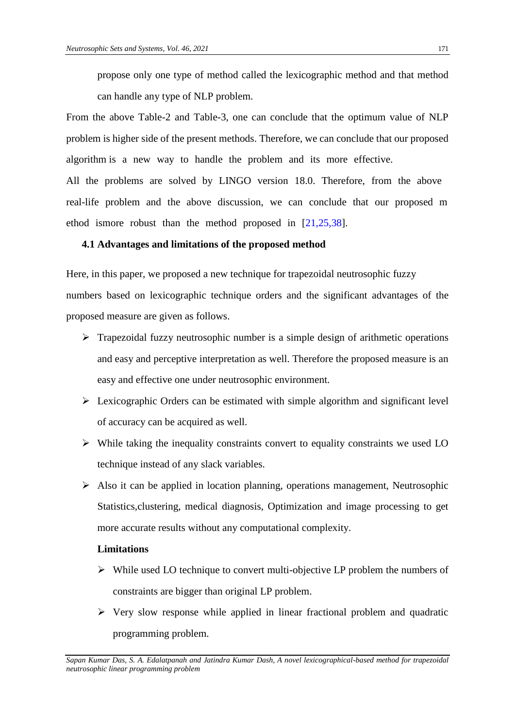propose only one type of method called the lexicographic method and that method can handle any type of NLP problem.

From the above Table-2 and Table-3, one can conclude that the optimum value of NLP problem is higher side of the present methods. Therefore, we can conclude that our proposed algorithm is a new way to handle the problem and its more effective.

All the problems are solved by LINGO version 18.0. Therefore, from the above real-life problem and the above discussion, we can conclude that our proposed m ethod ismore robust than the method proposed in  $[21,25,38]$ .

## **4.1 Advantages and limitations of the proposed method**

Here, in this paper, we proposed a new technique for trapezoidal neutrosophic fuzzy numbers based on lexicographic technique orders and the significant advantages of the proposed measure are given as follows.

- $\triangleright$  Trapezoidal fuzzy neutrosophic number is a simple design of arithmetic operations and easy and perceptive interpretation as well. Therefore the proposed measure is an easy and effective one under neutrosophic environment.
- $\triangleright$  Lexicographic Orders can be estimated with simple algorithm and significant level of accuracy can be acquired as well.
- $\triangleright$  While taking the inequality constraints convert to equality constraints we used LO technique instead of any slack variables.
- $\triangleright$  Also it can be applied in location planning, operations management, Neutrosophic Statistics,clustering, medical diagnosis, Optimization and image processing to get more accurate results without any computational complexity.

## **Limitations**

- $\triangleright$  While used LO technique to convert multi-objective LP problem the numbers of constraints are bigger than original LP problem.
- $\triangleright$  Very slow response while applied in linear fractional problem and quadratic programming problem.

*Sapan Kumar Das, S. A. Edalatpanah and Jatindra Kumar Dash, A novel lexicographical-based method for trapezoidal neutrosophic linear programming problem*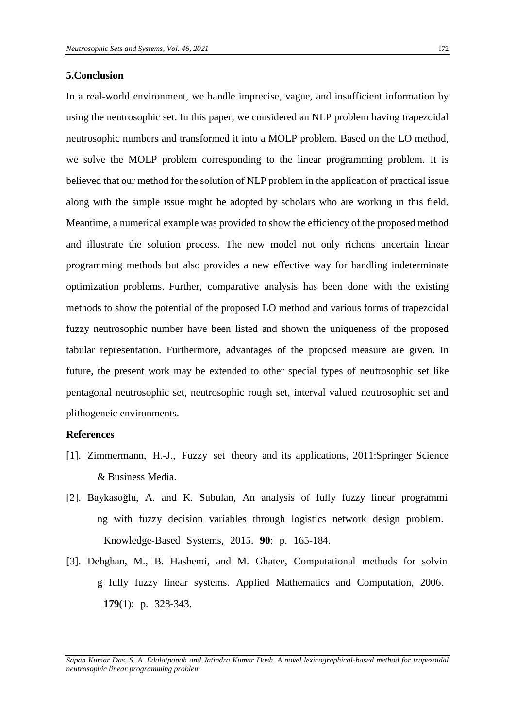## **5.Conclusion**

In a real-world environment, we handle imprecise, vague, and insufficient information by using the neutrosophic set. In this paper, we considered an NLP problem having trapezoidal neutrosophic numbers and transformed it into a MOLP problem. Based on the LO method, we solve the MOLP problem corresponding to the linear programming problem. It is believed that our method for the solution of NLP problem in the application of practical issue along with the simple issue might be adopted by scholars who are working in this field. Meantime, a numerical example was provided to show the efficiency of the proposed method and illustrate the solution process. The new model not only richens uncertain linear programming methods but also provides a new effective way for handling indeterminate optimization problems. Further, comparative analysis has been done with the existing methods to show the potential of the proposed LO method and various forms of trapezoidal fuzzy neutrosophic number have been listed and shown the uniqueness of the proposed tabular representation. Furthermore, advantages of the proposed measure are given. In future, the present work may be extended to other special types of neutrosophic set like pentagonal neutrosophic set, neutrosophic rough set, interval valued neutrosophic set and plithogeneic environments.

#### **References**

- [1]. Zimmermann, H.-J., Fuzzy set theory and its applications, 2011:Springer Science & Business Media.
- [2]. Baykasoğlu, A. and K. Subulan, An analysis of fully fuzzy linear programmi ng with fuzzy decision variables through logistics network design problem. Knowledge-Based Systems, 2015. **90**: p. 165-184.
- [3]. Dehghan, M., B. Hashemi, and M. Ghatee, Computational methods for solvin g fully fuzzy linear systems. Applied Mathematics and Computation, 2006. **179**(1): p. 328-343.

*Sapan Kumar Das, S. A. Edalatpanah and Jatindra Kumar Dash, A novel lexicographical-based method for trapezoidal neutrosophic linear programming problem*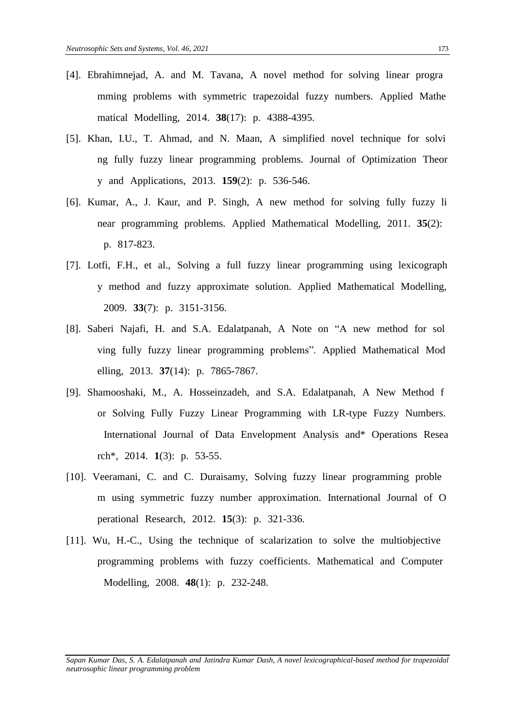- [4]. Ebrahimnejad, A. and M. Tavana, A novel method for solving linear progra mming problems with symmetric trapezoidal fuzzy numbers. Applied Mathe matical Modelling, 2014. **38**(17): p. 4388-4395.
- [5]. Khan, I.U., T. Ahmad, and N. Maan, A simplified novel technique for solvi ng fully fuzzy linear programming problems. Journal of Optimization Theor y and Applications, 2013. **159**(2): p. 536-546.
- [6]. Kumar, A., J. Kaur, and P. Singh, A new method for solving fully fuzzy li near programming problems. Applied Mathematical Modelling, 2011. **35**(2): p. 817-823.
- [7]. Lotfi, F.H., et al., Solving a full fuzzy linear programming using lexicograph y method and fuzzy approximate solution. Applied Mathematical Modelling, 2009. **33**(7): p. 3151-3156.
- [8]. Saberi Najafi, H. and S.A. Edalatpanah, A Note on "A new method for sol ving fully fuzzy linear programming problems". Applied Mathematical Mod elling, 2013. **37**(14): p. 7865-7867.
- [9]. Shamooshaki, M., A. Hosseinzadeh, and S.A. Edalatpanah, A New Method f or Solving Fully Fuzzy Linear Programming with LR-type Fuzzy Numbers. International Journal of Data Envelopment Analysis and\* Operations Resea rch<sup>\*</sup>, 2014. **1**(3): p. 53-55.
- [10]. Veeramani, C. and C. Duraisamy, Solving fuzzy linear programming proble m using symmetric fuzzy number approximation. International Journal of O perational Research, 2012. **15**(3): p. 321-336.
- $[11]$ . Wu, H.-C., Using the technique of scalarization to solve the multiobjective programming problems with fuzzy coefficients. Mathematical and Computer Modelling, 2008. **48**(1): p. 232-248.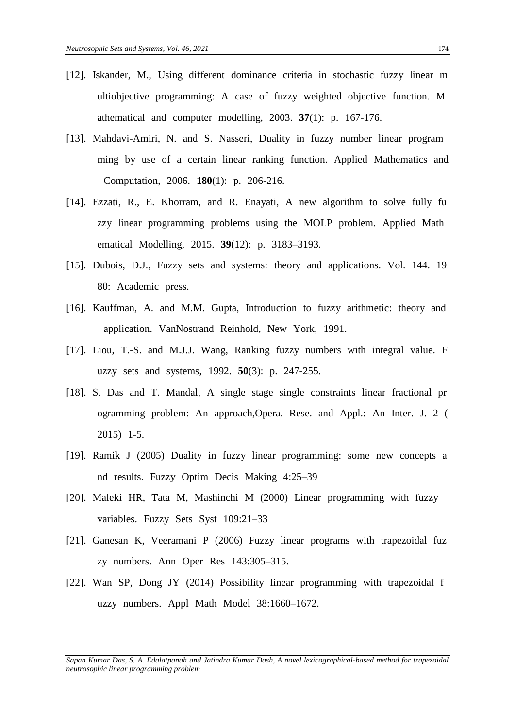- [12]. Iskander, M., Using different dominance criteria in stochastic fuzzy linear m ultiobjective programming: A case of fuzzy weighted objective function. M athematical and computer modelling,  $2003$ .  $37(1)$ : p. 167-176.
- [13]. Mahdavi-Amiri, N. and S. Nasseri, Duality in fuzzy number linear program ming by use of a certain linear ranking function. Applied Mathematics and Computation, 2006. **180**(1): p. 206-216.
- [14]. Ezzati, R., E. Khorram, and R. Enayati, A new algorithm to solve fully fully zzy linear programming problems using the MOLP problem. Applied Math ematical Modelling, 2015. **39**(12): p. 3183–3193.
- [15]. Dubois, D.J., Fuzzy sets and systems: theory and applications. Vol. 144. 19 80: Academic press.
- [16]. Kauffman, A. and M.M. Gupta, Introduction to fuzzy arithmetic: theory and application. VanNostrand Reinhold, New York, 1991.
- [17]. Liou, T.-S. and M.J.J. Wang, Ranking fuzzy numbers with integral value. F uzzy sets and systems,  $1992.50(3)$ : p.  $247-255$ .
- [18]. S. Das and T. Mandal, A single stage single constraints linear fractional pr ogramming problem: An approach,Opera. Rese. and Appl.: An Inter. J. 2 (  $2015$ ) 1-5.
- [19]. Ramik J (2005) Duality in fuzzy linear programming: some new concepts a nd results. Fuzzy Optim Decis Making 4:25–39
- [20]. Maleki HR, Tata M, Mashinchi M (2000) Linear programming with fuzzy variables. Fuzzy Sets Syst 109:21–33
- [21]. Ganesan K, Veeramani P (2006) Fuzzy linear programs with trapezoidal fuz zy numbers. Ann Oper Res 143:305–315.
- [22]. Wan SP, Dong JY (2014) Possibility linear programming with trapezoidal f uzzy numbers. Appl Math Model 38:1660–1672.

*Sapan Kumar Das, S. A. Edalatpanah and Jatindra Kumar Dash, A novel lexicographical-based method for trapezoidal neutrosophic linear programming problem*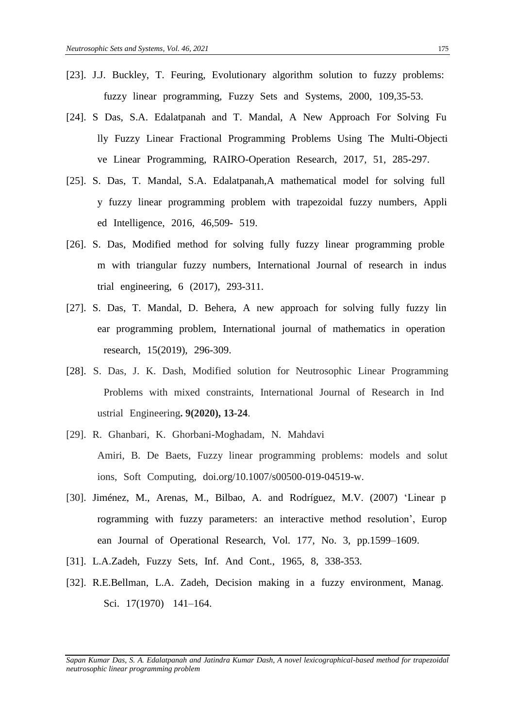- [23]. J.J. Buckley, T. Feuring, Evolutionary algorithm solution to fuzzy problems: fuzzy linear programming, Fuzzy Sets and Systems, 2000, 109,35-53.
- [24]. S Das, S.A. Edalatpanah and T. Mandal, A New Approach For Solving Fu lly Fuzzy Linear Fractional Programming Problems Using The Multi-Objecti ve Linear Programming, RAIRO-Operation Research, 2017, 51, 285-297.
- [25]. S. Das, T. Mandal, S.A. Edalatpanah,A mathematical model for solving full y fuzzy linear programming problem with trapezoidal fuzzy numbers, Appli ed Intelligence, 2016, 46,509- 519.
- [26]. S. Das, Modified method for solving fully fuzzy linear programming proble m with triangular fuzzy numbers, International Journal of research in indus trial engineering,  $6(2017)$ , 293-311.
- [27]. S. Das, T. Mandal, D. Behera, A new approach for solving fully fuzzy lin ear programming problem, International journal of mathematics in operation research, 15(2019), 296-309.
- [28]. S. Das, J. K. Dash, Modified solution for Neutrosophic Linear Programming Problems with mixed constraints, International Journal of Research in Ind ustrial Engineering. **9(2020)**, 13-24.
- [29]. R. Ghanbari, K. Ghorbani-Moghadam, N. Mahdavi Amiri, B. De Baets, Fuzzy linear programming problems: models and solut ions, Soft Computing, doi.org/10.1007/s00500-019-04519-w.
- [30]. Jiménez, M., Arenas, M., Bilbao, A. and Rodríguez, M.V. (2007) 'Linear p rogramming with fuzzy parameters: an interactive method resolution', Europ ean Journal of Operational Research, Vol. 177, No. 3, pp.1599–1609.
- [31]. L.A.Zadeh, Fuzzy Sets, Inf. And Cont., 1965, 8, 338-353.
- [32]. R.E.Bellman, L.A. Zadeh, Decision making in a fuzzy environment, Manag. Sci. 17(1970) 141-164.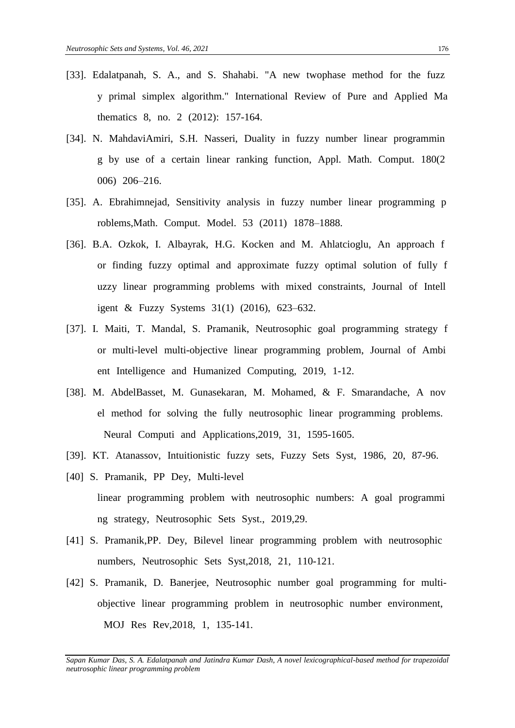- [33]. Edalatpanah, S. A., and S. Shahabi. "A new twophase method for the fuzz y primal simplex algorithm." International Review of Pure and Applied Ma thematics 8, no. 2 (2012): 157-164.
- [34]. N. MahdaviAmiri, S.H. Nasseri, Duality in fuzzy number linear programmin g by use of a certain linear ranking function, Appl. Math. Comput. 180(2) 006) 206-216.
- [35]. A. Ebrahimnejad, Sensitivity analysis in fuzzy number linear programming p roblems, Math. Comput. Model. 53 (2011) 1878–1888.
- [36]. B.A. Ozkok, I. Albayrak, H.G. Kocken and M. Ahlatcioglu, An approach f or finding fuzzy optimal and approximate fuzzy optimal solution of fully f uzzy linear programming problems with mixed constraints, Journal of Intell igent & Fuzzy Systems  $31(1)$  (2016), 623–632.
- [37]. I. Maiti, T. Mandal, S. Pramanik, Neutrosophic goal programming strategy f or multi-level multi-objective linear programming problem, Journal of Ambi ent Intelligence and Humanized Computing, 2019, 1-12.
- [38]. M. AbdelBasset, M. Gunasekaran, M. Mohamed, & F. Smarandache, A nov el method for solving the fully neutrosophic linear programming problems. Neural Computi and Applications,2019, 31, 1595-1605.
- [39]. KT. Atanassov, Intuitionistic fuzzy sets, Fuzzy Sets Syst, 1986, 20, 87-96.
- [40] S. Pramanik, PP Dey, Multi-level linear programming problem with neutrosophic numbers: A goal programmi ng strategy, Neutrosophic Sets Syst., 2019,29.
- [41] S. Pramanik, PP. Dey, Bilevel linear programming problem with neutrosophic numbers, Neutrosophic Sets Syst,2018, 21, 110-121.
- [42] S. Pramanik, D. Banerjee, Neutrosophic number goal programming for multiobjective linear programming problem in neutrosophic number environment, MOJ Res Rev, 2018, 1, 135-141.

*Sapan Kumar Das, S. A. Edalatpanah and Jatindra Kumar Dash, A novel lexicographical-based method for trapezoidal neutrosophic linear programming problem*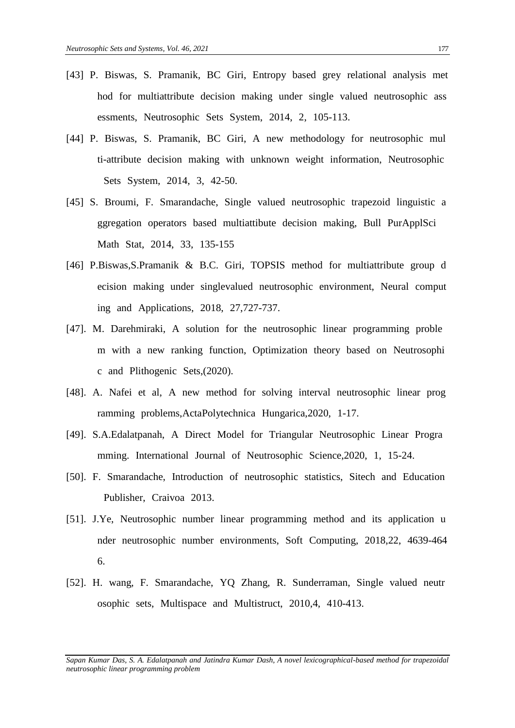- [43] P. Biswas, S. Pramanik, BC Giri, Entropy based grey relational analysis met hod for multiattribute decision making under single valued neutrosophic ass essments, Neutrosophic Sets System, 2014, 2, 105-113.
- [44] P. Biswas, S. Pramanik, BC Giri, A new methodology for neutrosophic mul ti-attribute decision making with unknown weight information, Neutrosophic Sets System, 2014, 3, 42-50.
- [45] S. Broumi, F. Smarandache, Single valued neutrosophic trapezoid linguistic a ggregation operators based multiattibute decision making. Bull PurApplSci Math Stat, 2014, 33, 135-155
- [46] P.Biswas,S.Pramanik & B.C. Giri, TOPSIS method for multiattribute group d ecision making under singlevalued neutrosophic environment, Neural comput ing and Applications,  $2018$ ,  $27,727-737$ .
- [47]. M. Darehmiraki, A solution for the neutrosophic linear programming proble m with a new ranking function, Optimization theory based on Neutrosophi c and Plithogenic Sets,(2020).
- [48]. A. Nafei et al, A new method for solving interval neutrosophic linear prog ramming problems,ActaPolytechnica Hungarica,2020, 1-17.
- [49]. S.A.Edalatpanah, A Direct Model for Triangular Neutrosophic Linear Progra mming. International Journal of Neutrosophic Science, 2020, 1, 15-24.
- [50]. F. Smarandache, Introduction of neutrosophic statistics, Sitech and Education Publisher, Craivoa 2013.
- [51]. J.Ye, Neutrosophic number linear programming method and its application u nder neutrosophic number environments, Soft Computing, 2018,22, 4639-464 6.
- [52]. H. wang, F. Smarandache, YQ Zhang, R. Sunderraman, Single valued neutr osophic sets, Multispace and Multistruct, 2010,4, 410-413.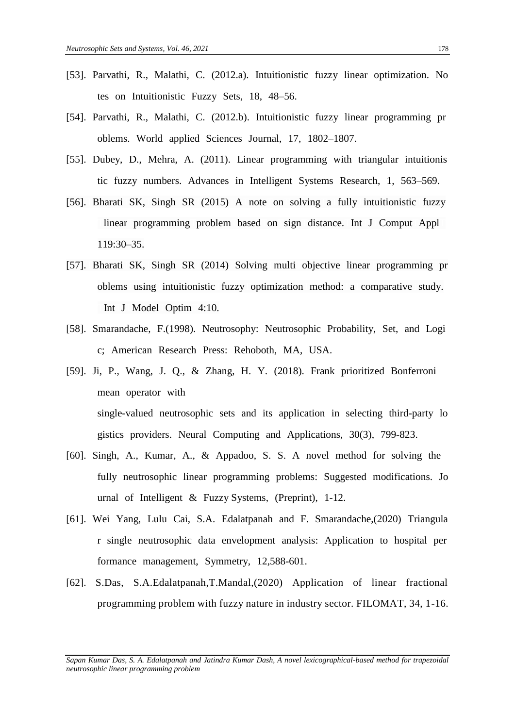- [53]. Parvathi, R., Malathi, C. (2012.a). Intuitionistic fuzzy linear optimization. No tes on Intuitionistic Fuzzy Sets, 18, 48–56.
- [54]. Parvathi, R., Malathi, C. (2012.b). Intuitionistic fuzzy linear programming pr oblems. World applied Sciences Journal, 17, 1802–1807.
- [55]. Dubey, D., Mehra, A. (2011). Linear programming with triangular intuitionis tic fuzzy numbers. Advances in Intelligent Systems Research, 1, 563–569.
- [56]. Bharati SK, Singh SR (2015) A note on solving a fully intuitionistic fuzzy linear programming problem based on sign distance. Int J Comput Appl 119:30–35.
- [57]. Bharati SK, Singh SR (2014) Solving multi objective linear programming pr oblems using intuitionistic fuzzy optimization method: a comparative study. Int J Model Optim 4:10.
- [58]. Smarandache, F.(1998). Neutrosophy: Neutrosophic Probability, Set, and Logi c; American Research Press: Rehoboth, MA, USA.
- [59]. Ji, P., Wang, J. Q., & Zhang, H. Y. (2018). Frank prioritized Bonferroni mean operator with single-valued neutrosophic sets and its application in selecting third-party lo gistics providers. Neural Computing and Applications, 30(3), 799-823.
- [60]. Singh, A., Kumar, A., & Appadoo, S. S. A novel method for solving the fully neutrosophic linear programming problems: Suggested modifications. Jo urnal of Intelligent & Fuzzy Systems, (Preprint),  $1-12$ .
- [61]. Wei Yang, Lulu Cai, S.A. Edalatpanah and F. Smarandache,(2020) Triangula r single neutrosophic data envelopment analysis: Application to hospital per formance management, Symmetry, 12,588-601.
- [62]. S.Das, S.A.Edalatpanah,T.Mandal,(2020) Application of linear fractional programming problem with fuzzy nature in industry sector. FILOMAT, 34, 1-16.

*Sapan Kumar Das, S. A. Edalatpanah and Jatindra Kumar Dash, A novel lexicographical-based method for trapezoidal neutrosophic linear programming problem*